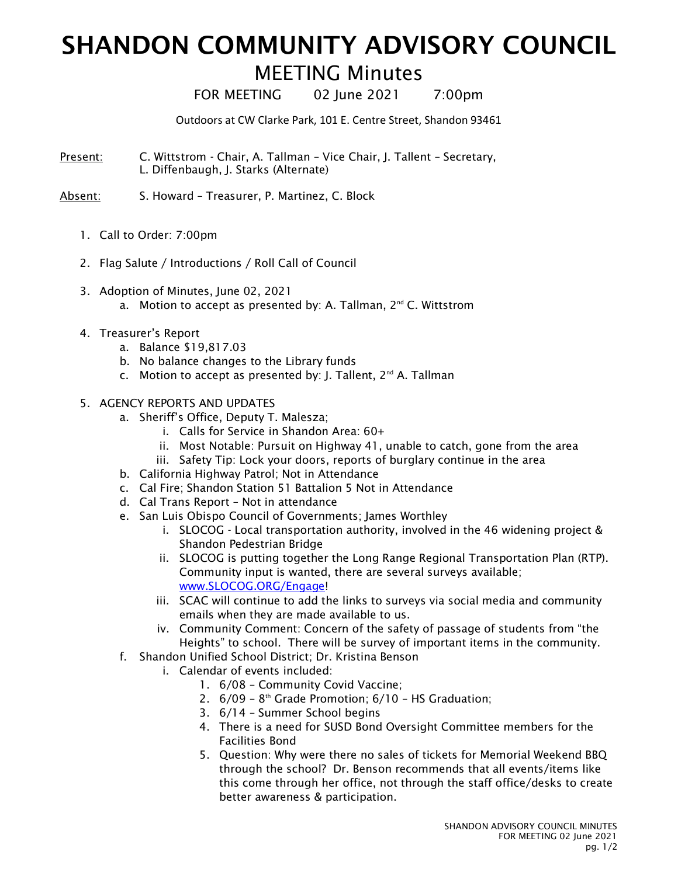## SHANDON COMMUNITY ADVISORY COUNCIL

## MEETING Minutes

FOR MEETING 02 June 2021 7:00pm

Outdoors at CW Clarke Park, 101 E. Centre Street, Shandon 93461

Present: C. Wittstrom - Chair, A. Tallman - Vice Chair, J. Tallent - Secretary, L. Diffenbaugh, J. Starks (Alternate)

Absent: S. Howard – Treasurer, P. Martinez, C. Block

- 1. Call to Order: 7:00pm
- 2. Flag Salute / Introductions / Roll Call of Council
- 3. Adoption of Minutes, June 02, 2021
	- a. Motion to accept as presented by: A. Tallman,  $2^{nd}$  C. Wittstrom
- 4. Treasurer's Report
	- a. Balance \$19,817.03
	- b. No balance changes to the Library funds
	- c. Motion to accept as presented by: J. Tallent, 2<sup>nd</sup> A. Tallman
- 5. AGENCY REPORTS AND UPDATES
	- a. Sheriff's Office, Deputy T. Malesza;
		- i. Calls for Service in Shandon Area: 60+
		- ii. Most Notable: Pursuit on Highway 41, unable to catch, gone from the area
		- iii. Safety Tip: Lock your doors, reports of burglary continue in the area
	- b. California Highway Patrol; Not in Attendance
	- c. Cal Fire; Shandon Station 51 Battalion 5 Not in Attendance
	- d. Cal Trans Report Not in attendance
	- e. San Luis Obispo Council of Governments; James Worthley
		- i. SLOCOG Local transportation authority, involved in the 46 widening project & Shandon Pedestrian Bridge
		- ii. SLOCOG is putting together the Long Range Regional Transportation Plan (RTP). Community input is wanted, there are several surveys available; www.SLOCOG.ORG/Engage!
		- iii. SCAC will continue to add the links to surveys via social media and community emails when they are made available to us.
		- iv. Community Comment: Concern of the safety of passage of students from "the Heights" to school. There will be survey of important items in the community.
	- f. Shandon Unified School District; Dr. Kristina Benson
		- i. Calendar of events included:
			- 1. 6/08 Community Covid Vaccine;
			- 2.  $6/09 8$ <sup>th</sup> Grade Promotion;  $6/10 HS$  Graduation;
			- 3. 6/14 Summer School begins
			- 4. There is a need for SUSD Bond Oversight Committee members for the Facilities Bond
			- 5. Question: Why were there no sales of tickets for Memorial Weekend BBQ through the school? Dr. Benson recommends that all events/items like this come through her office, not through the staff office/desks to create better awareness & participation.